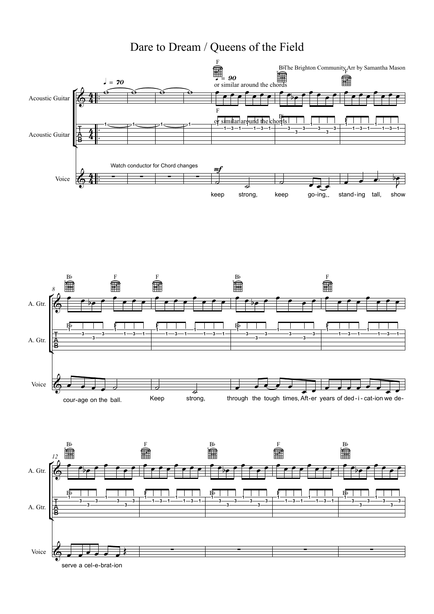## Dare to Dream / Queens of the Field



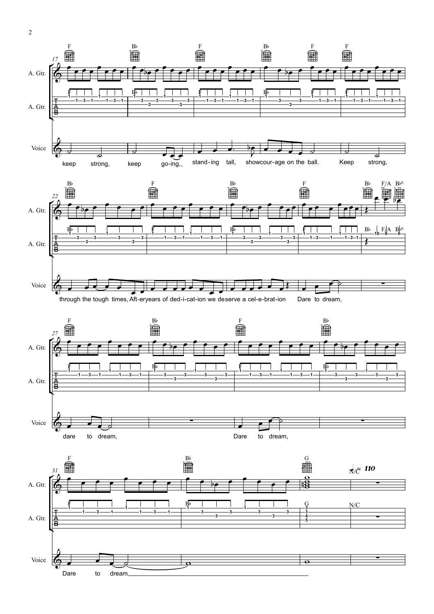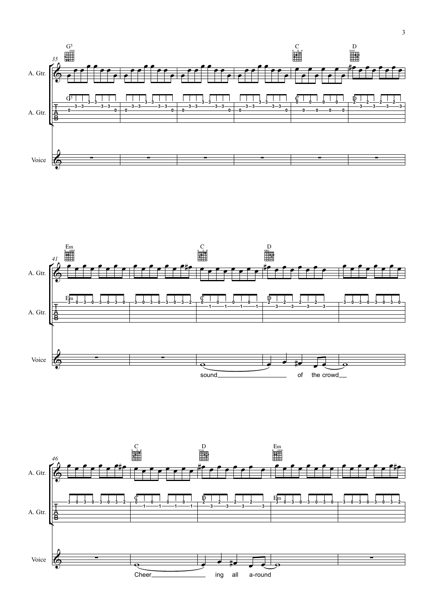



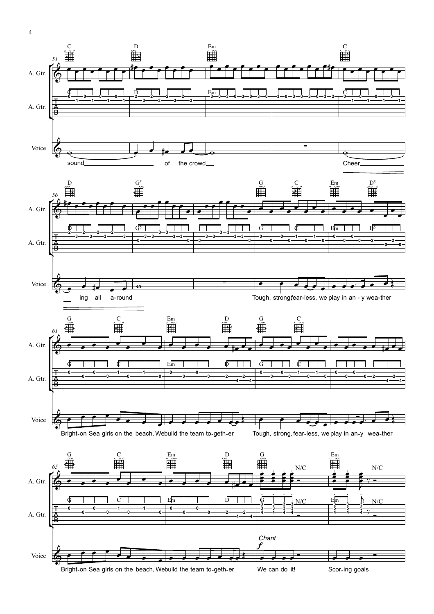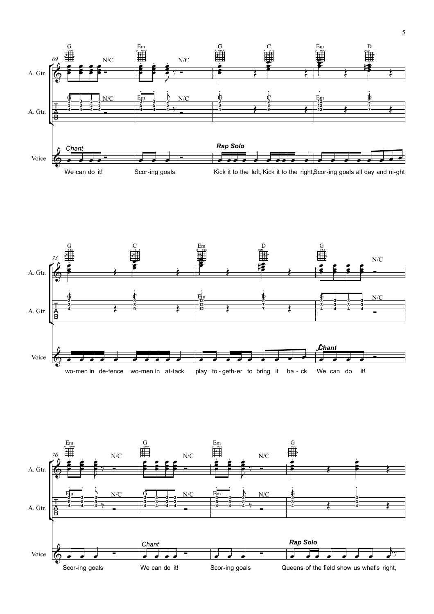



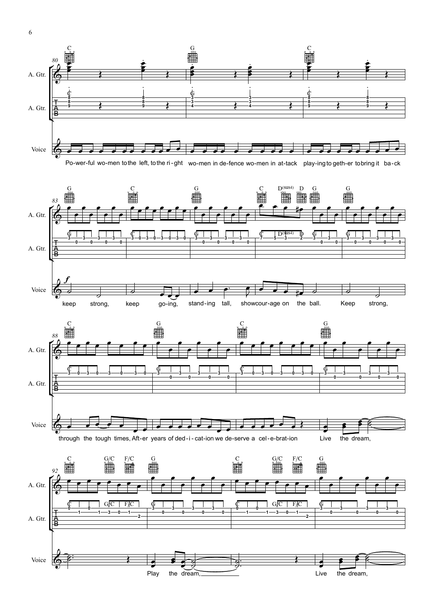